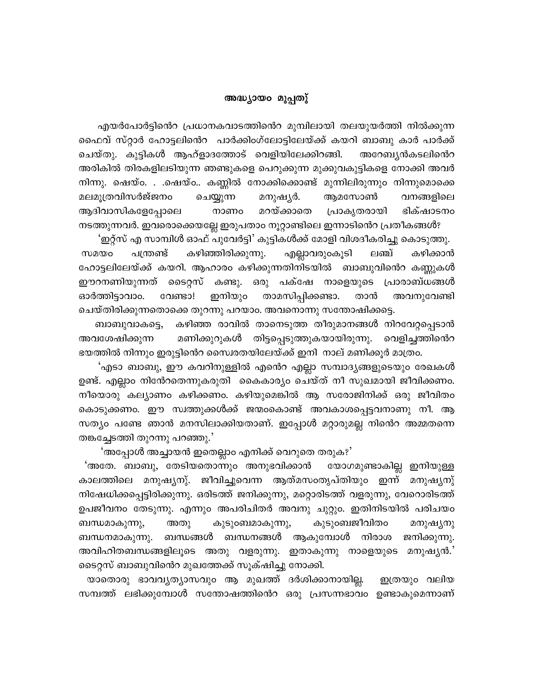## അദ്ധ്യായാ മുപ്പതു്

എയർപോർട്ടിൻെറ പ്രധാനകവാടത്തിൻെറ മുമ്പിലായി തലയുയർത്തി നിൽക്കുന്ന ഫൈവ് സ്റ്റാർ ഹോട്ടലിൻെറ പാർക്കിംഗ്ലോട്ടിലേയ്ക്ക് കയറി ബാബു കാർ പാർക്ക് ചെയ്തു. കുട്ടികൾ ആഹ്ളാദത്തോട് വെളിയിലേക്കിറങ്ങി. അറേബ്യൻകടലിൻെറ അരികിൽ തിരകളിലടിയുന്ന ഞണ്ടുകളെ പെറുക്കുന്ന മുക്കുവകുട്ടികളെ നോക്കി അവർ നിന്നു. ഷെയ്o. . .ഷെയ്o.. കണ്ണിൽ നോക്കിക്കൊണ്ട് മുന്നിലിരുന്നുo നിന്നുമൊക്കെ മലമൂത്രവിസർജ്ജനം ചെയ്യുന്ന മനുഷൃർ. ആമസോൺ വനങ്ങളിലെ മറയ്ക്കാതെ ആദിവാസികളേപ്പോലെ പ്രാകൃതരായി ഭിക്ഷാടനം നാണം നടത്തുന്നവർ. ഇവരൊക്കെയല്ലേ ഇരുപതാം നൂറ്റാണ്ടിലെ ഇന്നാടിൻെറ പ്രതീകങ്ങൾ?

'ഇറ്റ്സ് എ സാമ്പിൾ ഓഫ് പുവേർട്ടി' കുട്ടികൾക്ക് മോളി വിശദീകരിച്ചു കൊടുത്തു. കഴിഞ്ഞിരിക്കുന്നു. എല്ലാവരുംകൂടി ലഞ്ച് കഴിക്കാൻ സമയം പന്ത്രണ്ട് ഹോട്ടലിലേയ്ക്ക് കയറി. ആഹാരം കഴിക്കുന്നതിനിടയിൽ ബാബുവിൻെറ കണ്ണുകൾ ഈറനണിയുന്നത് ടൈറ്റസ് കണ്ടു. ഒരു പക്ഷേ നാളെയുടെ പ്രാരാബ്ധങ്ങൾ താമസിപ്പിക്കണ്ടാ. ഇനിയും ഓർത്തിട്ടാവാം. വേണ്ടാ! താൻ അവനുവേണ്ടി ചെയ്തിരിക്കുന്നതൊക്കെ തുറന്നു പറയാം. അവനൊന്നു സന്തോഷിക്കട്ടെ.

കഴിഞ്ഞ രാവിൽ താനെടുത്ത തീരുമാനങ്ങൾ നിറവേറ്റപ്പെടാൻ ബാബുവാകട്ടെ, അവശേഷിക്കുന്ന മണിക്കുറുകൾ തിട്ടപ്പെടുത്തുകയായിരുന്നു. വെളിച്ചത്തിൻെറ ഭയത്തിൽ നിന്നും ഇരുട്ടിൻെറ സൈ!രതയിലേയ്ക്ക് ഇനി നാല് മണിക്കൂർ മാത്രം.

'എടാ ബാബു, ഈ കവറിനുള്ളിൽ എൻെറ എല്ലാ സമ്പാദ്യങ്ങളുടെയും രേഖകൾ ഉണ്ട്. എല്ലാം നിൻേറതെന്നുകരുതി കൈകാര്യം ചെയ്ത് നീ സുഖമായി ജീവിക്കണം. നീയൊരു കല്യാണം കഴിക്കണം. കഴിയുമെങ്കിൽ ആ സരോജിനിക്ക് ഒരു ജീവിതം കൊടുക്കണം. ഈ സ്വത്തുക്കൾക്ക് ജന്മംകൊണ്ട് അവകാശപ്പെട്ടവനാണു നീ. ആ സത്യം പണ്ടേ ഞാൻ മനസിലാക്കിയതാണ്. ഇപ്പോൾ മറ്റാരുമല്ല നിൻെറ അമ്മതന്നെ തങ്കച്ചേടത്തി തുറന്നു പറഞ്ഞു.'

'അപ്പോൾ അച്ചായൻ ഇതെല്ലാം എനിക്ക് വെറുതെ തരുക?'

'അതേ. ബാബു, തേടിയതൊന്നും അനുഭവിക്കാൻ യോഗമുണ്ടാകില്ല ഇനിയുള്ള കാലത്തിലെ മനുഷൃനു്. ജീവിച്ചുവെന്ന ആത്മസംതൃപ്തിയും ഇന്ന് മനുഷ്യനു് നിഷേധിക്കപ്പെട്ടിരിക്കുന്നു. ഒരിടത്ത് ജനിക്കുന്നു, മറ്റൊരിടത്ത് വളരുന്നു, വേറൊരിടത്ത് ഉപജീവനം തേടുന്നു. എന്നും അപരിചിതർ അവനു ചുറ്റും. ഇതിനിടയിൽ പരിചയം ബന്ധമാകുന്നു, അതു കുടുംബമാകുന്നു, കുടുംബജീവിതം മനുഷ്യനു ബന്ധങ്ങൾ ബന്ധനങ്ങൾ ആകുമ്പോൾ നിരാശ ജനിക്കുന്നു. ബന്ധനമാകുന്നു. അവിഹിതബന്ധങ്ങളിലൂടെ അതു വളരുന്നു. ഇതാകുന്നു നാളെയുടെ മനുഷൃൻ.' ടൈറ്റസ് ബാബുവിൻെറ മുഖത്തേക്ക് സൂക്ഷിച്ചു നോക്കി.

യാതൊരു ഭാവവൃത്യാസവും ആ മുഖത്ത് ദർശിക്കാനായില്ല. ഇത്രയും വലിയ സമ്പത്ത് ലഭിക്കുമ്പോൾ സന്തോഷത്തിൻെ ഒരു പ്രസന്നഭാവം ഉണ്ടാകുമെന്നാണ്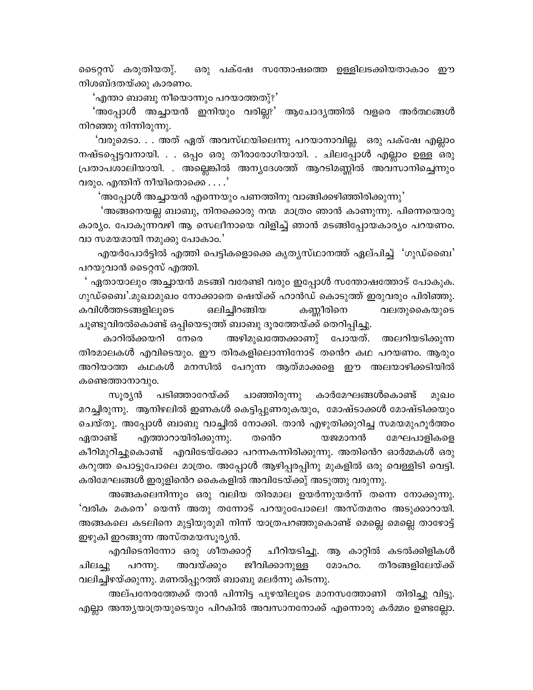ടൈറ്റസ് കരുതിയതു്. ഒരു പക്ഷേ സന്തോഷത്തെ ഉള്ളിലടക്കിയതാകാം ഈ നിശബ്ദതയ്ക്കു കാരണം.

'എന്താ ബാബു നീയൊന്നും പറയാത്തതു്?'

'അപ്പോൾ അച്ചായൻ ഇനിയും വരില്ലു' ആചോദ്യത്തിൽ വളരെ അർത്ഥങ്ങൾ നിറഞ്ഞു നിന്നിരുന്നു.

'വരുമെടാ. . . അത് ഏത് അവസ്ഥയിലെന്നു പറയാനാവില്ല. ഒരു പക്ഷേ എല്ലാം നഷ്ടപ്പെട്ടവനായി. . . ഒപ്പം ഒരു തീരാരോഗിയായി. . ചിലപ്പോൾ എല്ലാം ഉള്ള ഒരു പ്രതാപശാലിയായി. . അല്ലെങ്കിൽ അന്യദേശത്ത് ആറടിമണ്ണിൽ അവസാനിച്ചെന്നും വരും. എന്തിന് നീയിതൊക്കെ  $\dots$ 

'അപ്പോൾ അച്ചായൻ എന്നെയും പണത്തിനു വാങ്ങിക്കഴിഞ്ഞിരിക്കുന്നു'

'അങ്ങനെയല്ല ബാബു, നിനക്കൊരു നന്മ മാത്രം ഞാൻ കാണുന്നു. പിന്നെയൊരു കാര്യം. പോകുന്നവഴി ആ സെലീനായെ വിളിച്ച് ഞാൻ മടങ്ങിപ്പോയകാര്യം പറയണം. വാ സമയമായി നമുക്കു പോകാം.'

എയർപോർട്ടിൽ എത്തി പെട്ടികളൊക്കെ കൃതൃസ്ഥാനത്ത് ഏല്പിച്ച് 'ഗുഡ്ബൈ' പറയുവാൻ ടൈറ്റസ് എത്തി.

' ഏതായാലും അച്ചായൻ മടങ്ങി വരേണ്ടി വരും ഇപ്പോൾ സന്തോഷത്തോട് പോകുക. ഗുഡ്ബൈ'.മുഖാമുഖം നോക്കാതെ ഷെയ്ക്ക് ഹാൻഡ് കൊടുത്ത് ഇരുവരും പിരിഞ്ഞു. കവിൾത്തടങ്ങളിലുടെ ഒലിച്ചിറങ്ങിയ കണ്ണീരിനെ വലതുകൈയുടെ ചൂണ്ടുവിരൽകൊണ്ട് ഒപ്പിയെടുത്ത് ബാബു ദൂരത്തേയ്ക്ക് തെറിപ്പിച്ചു.

കാറിൽക്കയറി നേരെ അഴിമുഖത്തേക്കാണു് പോയത്. അലറിയടിക്കുന്ന തിരമാലകൾ എവിടെയും. ഈ തിരകളിലൊന്നിനോട് തൻെറ കഥ പറയണം. ആരും അറിയാത്ത കഥകൾ മനസിൽ പേറുന്ന ആത്മാക്കളെ ഈ അലയാഴിക്കടിയിൽ കണ്ടെത്താനാവും.

പടിഞ്ഞാറേയ്ക്ക് ചാഞ്ഞിരുന്നു കാർമേഘങ്ങൾകൊണ്ട് സൂര്യൻ മുഖം മറച്ചിരുന്നു. ആനിഴലിൽ ഇണകൾ കെട്ടിപ്പുണരുകയും, മോഷ്ടാക്കൾ മോഷ്ടിക്കയും ചെയ്തു. അപ്പോൾ ബാബു വാച്ചിൽ നോക്കി. താൻ എഴുതിക്കുറിച്ച സമയമുഹൂർത്തം എത്താറായിരിക്കുന്നു. തൻെറ യജമാനൻ മേഘപാളികളെ ഏതാണ്ട് കീറിമുറിച്ചുകൊണ്ട് എവിടേയ്ക്കോ പറന്നകന്നിരിക്കുന്നു. അതിൻെറ ഓർമ്മകൾ ഒരു കറുത്ത പൊട്ടുപോലെ മാത്രം. അപ്പോൾ ആഴിപ്പരപ്പിനു മുകളിൽ ഒരു വെള്ളിടി വെട്ടി. കരിമേഘങ്ങൾ ഇരുളിൻെറ കൈകളിൽ അവിടേയ്ക്കു് അടുത്തു വരുന്നു.

അങ്ങകലെനിന്നും ഒരു വലിയ തിരമാല ഉയർന്നുയർന്ന് തന്നെ നോക്കുന്നു. 'വരിക മകനെ' യെന്ന് അതു തന്നോട് പറയുംപോലെ! അസ്തമനം അടുക്കാറായി. അങ്ങകലെ കടലിനെ മുട്ടിയുരുമി നിന്ന് യാത്രപറഞ്ഞുകൊണ്ട് മെല്ലെ മെല്ലെ താഴോട്ട് ഇഴുകി ഇറങ്ങുന്ന അസ്തമയസൂരൃൻ.

എവിടെനിന്നോ ഒരു ശീതക്കാറ്റ് ചീറിയടിച്ചു. ആ കാറ്റിൽ കടൽക്കിളികൾ പറന്നു. അവയ്ക്കുറ ജീവിക്കാനുള്ള മോഹം. തീരങ്ങളിലേയ്ക്ക് ചിലച്ചു വലിച്ചിഴയ്ക്കുന്നു. മണൽപ്പുറത്ത് ബാബു മലർന്നു കിടന്നു.

അല്പനേരത്തേക്ക് താൻ പിന്നിട്ട പുഴയിലൂടെ മാനസത്തോണി തിരിച്ചു വിട്ടു. എല്ലാ അന്ത്യയാത്രയുടെയും പിറകിൽ അവസാനനോക്ക് എന്നൊരു കർമ്മം ഉണ്ടല്ലോ.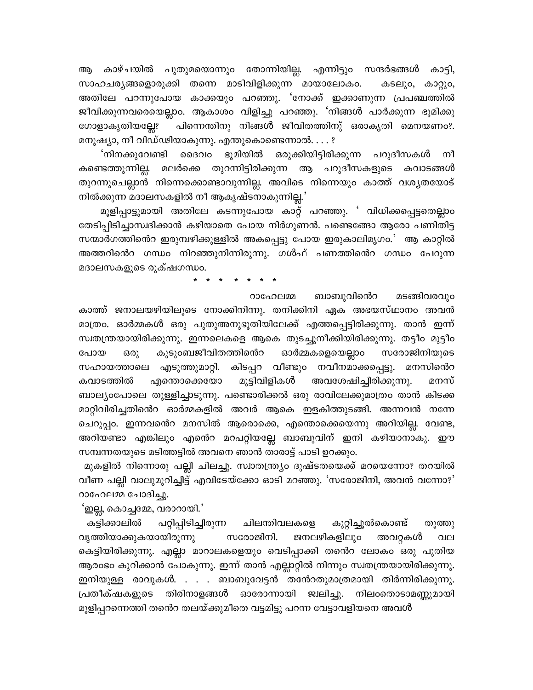കാഴ്ചയിൽ പുതുമയൊന്നും തോന്നിയില്ല. എന്നിട്ടും സന്ദർഭങ്ങൾ കാട്ടി, ആ സാഹചര്യങ്ങളൊരുക്കി തന്നെ മാടിവിളിക്കുന്ന മായാലോകം. കടലും, കാറ്റും, അതിലേ പറന്നുപോയ കാക്കയും പറഞ്ഞു. 'നോക്ക് ഇക്കാണുന്ന പ്രപഞ്ചത്തിൽ ജീവിക്കുന്നവരെയെല്ലാം. ആകാശം വിളിച്ചു പറഞ്ഞു. 'നിങ്ങൾ പാർക്കുന്ന ഭൂമിക്കു ഗോളാകൃതിയല്ലേ? പിന്നെന്തിനു നിങ്ങൾ ജീവിതത്തിനു് ഒരാകൃതി മെനയണം?. മനുഷ്യാ, നീ വിഡ്ഢിയാകുന്നു. എന്തുകൊണ്ടെന്നാൽ. . . . ?

'നിനക്കുവേണ്ടി ദൈവം ഭൂമിയിൽ ഒരുക്കിയിട്ടിരിക്കുന്ന പറുദീസകൾ നീ മലർക്കെ തുറന്നിട്ടിരിക്കുന്ന ആ പറുദീസകളുടെ കവാടങ്ങൾ കണ്ടെത്തുന്നില്ല. തുറന്നുചെല്ലാൻ നിന്നെക്കൊണ്ടാവുന്നില്ല. അവിടെ നിന്നെയും കാത്ത് വശൃതയോട് നിൽക്കുന്ന മദാലസകളിൽ നീ ആകൃഷ്ടനാകുന്നില്ല.'

മൂളിപ്പാട്ടുമായി അതിലേ കടന്നുപോയ കാറ്റ് പറഞ്ഞു. ' വിധിക്കപ്പെട്ടതെല്ലാം തേടിപ്പിടിച്ചാസ്വദിക്കാൻ കഴിയാതെ പോയ നിർഗുണൻ. പണ്ടെങ്ങോ ആരോ പണിതിട്ട സന്മാർഗത്തിൻെറ ഇരുമ്പഴിക്കുള്ളിൽ അകപ്പെട്ടു പോയ ഇരുകാലിമൃഗം.' ആ കാറ്റിൽ അത്തറിൻെ ഗന്ധം നിറഞ്ഞുനിന്നിരുന്നു. ഗൾഫ് പണത്തിൻെ ഗന്ധം പേറുന്ന മദാലസകളുടെ രൂക്ഷഗന്ധം.

ബാബുവിൻെറ മടങ്ങിവരവും റാഹേലമ്മ

കാത്ത് ജനാലയഴിയിലൂടെ നോക്കിനിന്നു. തനിക്കിനി ഏക അഭയസ്ഥാനം അവൻ മാത്രം. ഓർമ്മകൾ ഒരു പുതുഅനുഭൂതിയിലേക്ക് എത്തപ്പെട്ടിരിക്കുന്നു. താൻ ഇന്ന് സ്വതന്ത്രയായിരിക്കുന്നു. ഇന്നലെകളെ ആകെ തുടച്ചുനീക്കിയിരിക്കുന്നു. തട്ടീo മുട്ടീo കുടുംബജീവിതത്തിൻെറ ഓർമ്മകളെയെല്ലാം സരോജിനിയുടെ പോയ ഒരു സഹായത്താലെ എടുത്തുമാറ്റി. കിടപ്പറ വീണ്ടും നവീനമാക്കപ്പെട്ടു. മനസിൻെറ അവശേഷിച്ചിരിക്കുന്നു. മുട്ടിവിളികൾ കവാടത്തിൽ എന്തൊക്കെയോ മനസ് ബാല്യംപോലെ തുള്ളിച്ചാടുന്നു. പണ്ടൊരിക്കൽ ഒരു രാവിലേക്കുമാത്രം താൻ കിടക്ക മാറ്റിവിരിച്ചതിൻെറ ഓർമ്മകളിൽ അവർ ആകെ ഇളകിത്തുടങ്ങി. അന്നവൻ നന്നേ ചെറുപ്പം. ഇന്നവൻെ മനസിൽ ആരൊക്കെ, എന്തൊക്കെയെന്നു അറിയില്ല. വേണ്ട, അറിയണ്ടാ എങ്കിലും എൻെ മറപറ്റിയല്ലേ ബാബുവിന് ഇനി കഴിയാനാകു. ഈ സമ്പന്നതയുടെ മടിത്തട്ടിൽ അവനെ ഞാൻ താരാട്ട് പാടി ഉറക്കും.

മുകളിൽ നിന്നൊരു പല്ലി ചിലച്ചു. സ്വാതന്ത്ര്യം ദുഷ്ടതയെക്ക് മറയെന്നോ? തറയിൽ വീണ പല്ലി വാലുമുറിച്ചിട്ട് എവിടേയ്ക്കോ ഓടി മറഞ്ഞു. 'സരോജിനി, അവൻ വന്നോ?' റാഹേലമ്മ ചോദിച്ചു.

'ഇല്ല, കൊച്ചമ്മേ, വരാറായി.'

കട്ടിക്കാലിൽ പറ്റിപ്പിടിച്ചിരുന്ന ചിലന്തിവലകളെ കുറ്റിച്ചൂൽകൊണ്ട് തുത്തു ജനലഴികളിലും വൃത്തിയാക്കുകയായിരുന്നു സരോജിനി. അവറ്റകൾ വല കെട്ടിയിരിക്കുന്നു. എല്ലാ മാറാലകളെയും വെടിപ്പാക്കി തന്റെ ലോകം ഒരു പുതിയ ആരംഭം കുറിക്കാൻ പോകുന്നു. ഇന്ന് താൻ എല്ലാറ്റിൽ നിന്നും സ്വതന്ത്രയായിരിക്കുന്നു. ഇനിയുള്ള രാവുകൾ. . . . ബാബുവേട്ടൻ തന്റേതുമാത്രമായി തിർന്നിരിക്കുന്നു. പ്രതീക്ഷകളുടെ തിരിനാളങ്ങൾ ഓരോന്നായി ജ്വലിച്ചു. നിലംതൊടാമണ്ണുമായി മൂളിപ്പറന്നെത്തി തൻെറ തലയ്ക്കുമീതെ വട്ടമിട്ടു പറന്ന വേട്ടാവളിയനെ അവൾ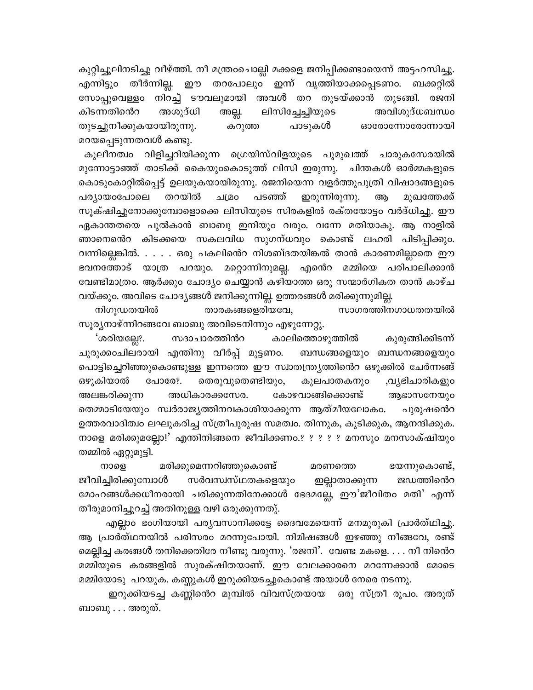കുറ്റിച്ചൂലിനടിച്ചു വീഴ്ത്തി. നീ മന്ത്രംചൊല്ലി മക്കളെ ജനിപ്പിക്കണ്ടായെന്ന് അട്ടഹസിച്ചു. എന്നിട്ടും തീർന്നില്ല. ഈ തറപോലും ഇന്ന് വൃത്തിയാക്കപ്പെടണം. ബക്കറ്റിൽ സോപ്പുവെള്ളം നിറച്ച് ടൗവലുമായി അവൾ തറ തുടയ്ക്കാൻ തുടങ്ങി. രജനി ലിസിച്ചേച്ചിയുടെ അവിശുദ്ധബന്ധം കിടന്നതിൻെറ അശുദ്ധി അല്ല. തുടച്ചുനീക്കുകയായിരുന്നു. കറുത്ത പാടുകൾ ഓരോന്നോരോന്നായി മറയപ്പെടുന്നതവൾ കണ്ടു.

കുലീനത്വം വിളിച്ചറിയിക്കുന്ന ഗ്രെയിസ്വിളയുടെ പുമുഖത്ത് ചാരുകസേരയിൽ മുന്നോട്ടാഞ്ഞ് താടിക്ക് കൈയുംകൊടുത്ത് ലിസി ഇരുന്നു. ചിന്തകൾ ഓർമ്മകളുടെ കൊടുംകാറ്റിൽപ്പെട്ട് ഉലയുകയായിരുന്നു. രജനിയെന്ന വളർത്തുപുത്രി വിഷാദങ്ങളുടെ തറയിൽ പടഞ്ഞ് ഇരുന്നിരുന്നു. ആ പര്യായാപോലെ ചമ്രാ മുഖത്തേക്ക് സൂക്ഷിച്ചുനോക്കുമ്പോളൊക്കെ ലിസിയുടെ സിരകളിൽ രക്തയോട്ടം വർദ്ധിച്ചു. ഈ ഏകാന്തതയെ പുൽകാൻ ബാബു ഇനിയും വരും. വന്നേ മതിയാകു. ആ നാളിൽ ഞാനെൻെറ കിടക്കയെ സകലവിധ സുഗന്ധവും കൊണ്ട് ലഹരി പിടിപ്പിക്കും. വന്നില്ലെങ്കിൽ. . . . . ഒരു പകലിൻെറ നിശബ്ദതയിങ്കൽ താൻ കാരണമില്ലാതെ ഈ ഭവനത്തോട് യാത്ര പറയും. മറ്റൊന്നിനുമല്ല. എൻെറ മമ്മിയെ പരിപാലിക്കാൻ വേണ്ടിമാത്രം. ആർക്കും ചോദ്യം ചെയ്യാൻ കഴിയാത്ത ഒരു സന്മാർഗികത താൻ കാഴ്ച വയ്ക്കും. അവിടെ ചോദ്യങ്ങൾ ജനിക്കുന്നില്ല. ഉത്തരങ്ങൾ മരിക്കുന്നുമില്ല.

നിഗുഡതയിൽ താരകങ്ങളെരിയവേ, സാഗരത്തിനഗാധതതയിൽ സൂര്യനാഴ്ന്നിറങ്ങവേ ബാബു അവിടെനിന്നും എഴുന്നേറ്റു.

കുരുങ്ങിക്കിടന്ന് 'ശരിയല്ലേ?. സദാചാരത്തിൻറ കാലിത്തൊഴുത്തിൽ ചുരുക്കാചിലരായി എന്തിനു വീർപ്പ് മുട്ടണം. ബന്ധങ്ങളെയും ബന്ധനങ്ങളെയും പൊട്ടിച്ചെറിഞ്ഞുകൊണ്ടുള്ള ഇന്നത്തെ ഈ സ്വാതന്ത്ര്യത്തിൻെറ ഒഴുക്കിൽ ചേർന്നങ്ങ് ഔുകിയാൽ തെരുവുതെണ്ടിയും, പോരേ?. കുലപാതകനു൦ ,വൃഭിചാരികളും അലങ്കരിക്കുന്ന അധികാരക്കസേര. കോഴവാങ്ങിക്കൊണ്ട് ആഭാസനേയും തെമ്മാടിയേയും സ്വർരാജ്യത്തിനവകാശിയാക്കുന്ന ആത്മീയലോകം. പുരുഷന്റെ ഉത്തരവാദിത്വം ലഘൂകരിച്ച സ്ത്രീപുരുഷ സമത്വം. തിന്നുക, കുടിക്കുക, ആനന്ദിക്കുക. നാളെ മരിക്കുമല്ലോ!' എന്തിനിങ്ങനെ ജീവിക്കണം.? ? ? ? ? മനസും മനസാക്ഷിയും തമ്മിൽ ഏറ്റുമുട്ടി.

നാളെ മരിക്കുമെന്നറിഞ്ഞുകൊണ്ട് മരണത്തെ ഭയന്നുകൊണ്ട്, ജീവിച്ചിരിക്കുമ്പോൾ സർവസ്ഥ്നകളെയും ജഡത്തിൻെറ ഇല്ലാതാക്കുന്ന മോഹങ്ങൾക്കധീനരായി ചരിക്കുന്നതിനേക്കാൾ ഭേദമല്ലേ, ഈ'ജീവിതം മതി' എന്ന് തീരുമാനിച്ചുറച്ച് അതിനുള്ള വഴി ഒരുക്കുന്നതു്.

എല്ലാം ഭംഗിയായി പര്യവസാനിക്കട്ടേ ദൈവമേയെന്ന് മനമുരുകി പ്രാർത്ഥിച്ചു. ആ പ്രാർത്ഥനയിൽ പരിസരം മറന്നുപോയി. നിമിഷങ്ങൾ ഇഴഞ്ഞു നീങ്ങവേ, രണ്ട് മെല്ലിച്ച കരങ്ങൾ തനിക്കെതിരേ നീണ്ടു വരുന്നു. 'രജനി'. വേണ്ട മകളെ. . . . നീ നിന്റെറ മമ്മിയുടെ കരങ്ങളിൽ സുരക്ഷിതയാണ്. ഈ വേലക്കാരനെ മറന്നേക്കാൻ മോടെ മമ്മിയോടു പറയുക. കണ്ണുകൾ ഇറുക്കിയടച്ചുകൊണ്ട് അയാൾ നേരെ നടന്നു.

ഇറുക്കിയടച്ച കണ്ണിൻെറ മുമ്പിൽ വിവസ്ത്രയായ ഒരു സ്ത്രീ രൂപം. അരുത് ബാബു . . . അരുത്.